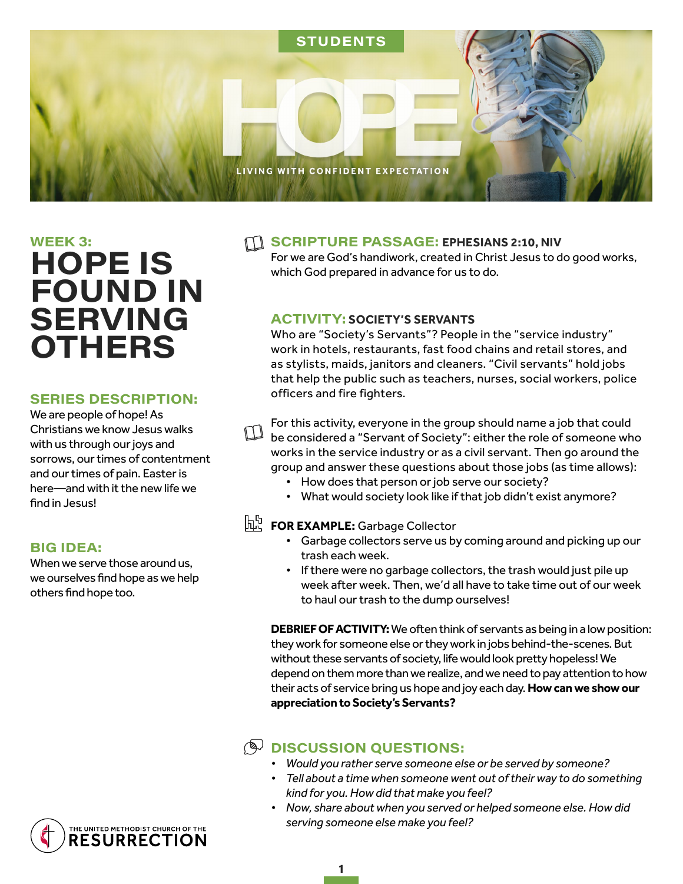

# $WEEK$  3: **HOPE IS FOUND IN SERVING OTHERS**

#### **SERIES DESCRIPTION:**

We are people of hope! As Christians we know Jesus walks with us through our joys and sorrows, our times of contentment and our times of pain. Easter is here—and with it the new life we find in Jesus!

#### **BIG IDEA:**

When we serve those around us, we ourselves find hope as we help others find hope too.

#### **SCRIPTURE PASSAGE: EPHESIANS 2:10, NIV**

For we are God's handiwork, created in Christ Jesus to do good works, which God prepared in advance for us to do.

#### **ACTIVITY: SOCIETY'S SERVANTS**

Who are "Society's Servants"? People in the "service industry" work in hotels, restaurants, fast food chains and retail stores, and as stylists, maids, janitors and cleaners. "Civil servants" hold jobs that help the public such as teachers, nurses, social workers, police officers and fire fighters.

For this activity, everyone in the group should name a job that could **be considered a "Servant of Society": either the role of someone who** works in the service industry or as a civil servant. Then go around the group and answer these questions about those jobs (as time allows):

- How does that person or job serve our society?
- What would society look like if that job didn't exist anymore?

# **FOR EXAMPLE:** Garbage Collector

- Garbage collectors serve us by coming around and picking up our trash each week.
- If there were no garbage collectors, the trash would just pile up week after week. Then, we'd all have to take time out of our week to haul our trash to the dump ourselves!

**DEBRIEF OF ACTIVITY:** We often think of servants as being in a low position: they work for someone else or they work in jobs behind-the-scenes. But without these servants of society, life would look pretty hopeless! We depend on them more than we realize, and we need to pay attention to how their acts of service bring us hope and joy each day. **How can we show our appreciation to Society's Servants?** 

### **A DISCUSSION QUESTIONS:**

- *• Would you rather serve someone else or be served by someone?*
- *• Tell about a time when someone went out of their way to do something kind for you. How did that make you feel?*
- *• Now, share about when you served or helped someone else. How did serving someone else make you feel?*